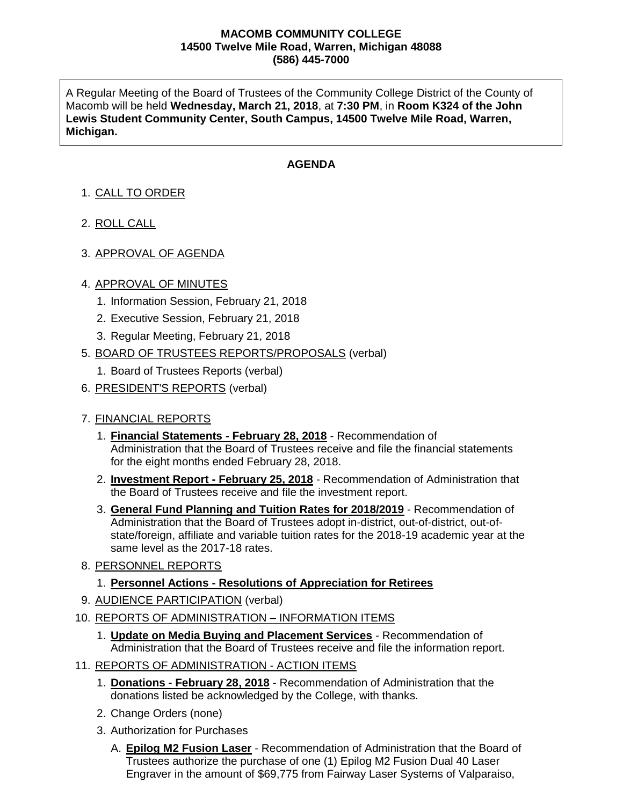#### **MACOMB COMMUNITY COLLEGE 14500 Twelve Mile Road, Warren, Michigan 48088 (586) 445-7000**

A Regular Meeting of the Board of Trustees of the Community College District of the County of Macomb will be held **Wednesday, March 21, 2018**, at **7:30 PM**, in **Room K324 of the John Lewis Student Community Center, South Campus, 14500 Twelve Mile Road, Warren, Michigan.**

## **AGENDA**

# 1. CALL TO ORDER

- 2. ROLL CALL
- 3. APPROVAL OF AGENDA

### 4. APPROVAL OF MINUTES

- 1. Information Session, February 21, 2018
- 2. Executive Session, February 21, 2018
- 3. Regular Meeting, February 21, 2018
- 5. BOARD OF TRUSTEES REPORTS/PROPOSALS (verbal)
	- 1. Board of Trustees Reports (verbal)
- 6. PRESIDENT'S REPORTS (verbal)

### 7. FINANCIAL REPORTS

- 1. **Financial Statements - February 28, 2018** Recommendation of Administration that the Board of Trustees receive and file the financial statements for the eight months ended February 28, 2018.
- 2. **Investment Report - February 25, 2018** Recommendation of Administration that the Board of Trustees receive and file the investment report.
- 3. **General Fund Planning and Tuition Rates for 2018/2019** Recommendation of Administration that the Board of Trustees adopt in-district, out-of-district, out-ofstate/foreign, affiliate and variable tuition rates for the 2018-19 academic year at the same level as the 2017-18 rates.
- 8. PERSONNEL REPORTS

### 1. **Personnel Actions - Resolutions of Appreciation for Retirees**

- 9. AUDIENCE PARTICIPATION (verbal)
- 10. REPORTS OF ADMINISTRATION INFORMATION ITEMS
	- 1. **Update on Media Buying and Placement Services** Recommendation of Administration that the Board of Trustees receive and file the information report.
- 11. REPORTS OF ADMINISTRATION ACTION ITEMS
	- 1. **Donations - February 28, 2018** Recommendation of Administration that the donations listed be acknowledged by the College, with thanks.
	- 2. Change Orders (none)
	- 3. Authorization for Purchases
		- A. **Epilog M2 Fusion Laser** Recommendation of Administration that the Board of Trustees authorize the purchase of one (1) Epilog M2 Fusion Dual 40 Laser Engraver in the amount of \$69,775 from Fairway Laser Systems of Valparaiso,